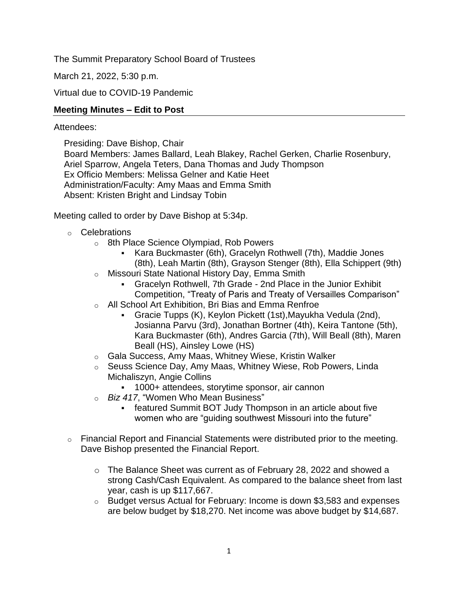The Summit Preparatory School Board of Trustees

March 21, 2022, 5:30 p.m.

Virtual due to COVID-19 Pandemic

### **Meeting Minutes – Edit to Post**

### Attendees:

Presiding: Dave Bishop, Chair Board Members: James Ballard, Leah Blakey, Rachel Gerken, Charlie Rosenbury, Ariel Sparrow, Angela Teters, Dana Thomas and Judy Thompson Ex Officio Members: Melissa Gelner and Katie Heet Administration/Faculty: Amy Maas and Emma Smith Absent: Kristen Bright and Lindsay Tobin

Meeting called to order by Dave Bishop at 5:34p.

- o Celebrations
	- o 8th Place Science Olympiad, Rob Powers
		- Kara Buckmaster (6th), Gracelyn Rothwell (7th), Maddie Jones (8th), Leah Martin (8th), Grayson Stenger (8th), Ella Schippert (9th)
	- o Missouri State National History Day, Emma Smith
		- Gracelyn Rothwell, 7th Grade 2nd Place in the Junior Exhibit Competition, "Treaty of Paris and Treaty of Versailles Comparison"
	- o All School Art Exhibition, Bri Bias and Emma Renfroe
		- Gracie Tupps (K), Keylon Pickett (1st), Mayukha Vedula (2nd), Josianna Parvu (3rd), Jonathan Bortner (4th), Keira Tantone (5th), Kara Buckmaster (6th), Andres Garcia (7th), Will Beall (8th), Maren Beall (HS), Ainsley Lowe (HS)
	- o Gala Success, Amy Maas, Whitney Wiese, Kristin Walker
	- o Seuss Science Day, Amy Maas, Whitney Wiese, Rob Powers, Linda Michaliszyn, Angie Collins
		- 1000+ attendees, storytime sponsor, air cannon
	- o *Biz 417*, "Women Who Mean Business"
		- **featured Summit BOT Judy Thompson in an article about five** women who are "guiding southwest Missouri into the future"
- $\circ$  Financial Report and Financial Statements were distributed prior to the meeting. Dave Bishop presented the Financial Report.
	- o The Balance Sheet was current as of February 28, 2022 and showed a strong Cash/Cash Equivalent. As compared to the balance sheet from last year, cash is up \$117,667.
	- o Budget versus Actual for February: Income is down \$3,583 and expenses are below budget by \$18,270. Net income was above budget by \$14,687.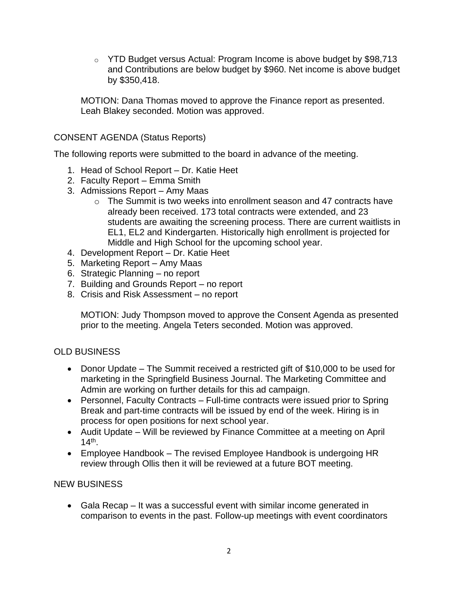$\circ$  YTD Budget versus Actual: Program Income is above budget by \$98,713 and Contributions are below budget by \$960. Net income is above budget by \$350,418.

MOTION: Dana Thomas moved to approve the Finance report as presented. Leah Blakey seconded. Motion was approved.

## CONSENT AGENDA (Status Reports)

The following reports were submitted to the board in advance of the meeting.

- 1. Head of School Report Dr. Katie Heet
- 2. Faculty Report Emma Smith
- 3. Admissions Report Amy Maas
	- o The Summit is two weeks into enrollment season and 47 contracts have already been received. 173 total contracts were extended, and 23 students are awaiting the screening process. There are current waitlists in EL1, EL2 and Kindergarten. Historically high enrollment is projected for Middle and High School for the upcoming school year.
- 4. Development Report Dr. Katie Heet
- 5. Marketing Report Amy Maas
- 6. Strategic Planning no report
- 7. Building and Grounds Report no report
- 8. Crisis and Risk Assessment no report

MOTION: Judy Thompson moved to approve the Consent Agenda as presented prior to the meeting. Angela Teters seconded. Motion was approved.

# OLD BUSINESS

- Donor Update The Summit received a restricted gift of \$10,000 to be used for marketing in the Springfield Business Journal. The Marketing Committee and Admin are working on further details for this ad campaign.
- Personnel, Faculty Contracts Full-time contracts were issued prior to Spring Break and part-time contracts will be issued by end of the week. Hiring is in process for open positions for next school year.
- Audit Update Will be reviewed by Finance Committee at a meeting on April 14th .
- Employee Handbook The revised Employee Handbook is undergoing HR review through Ollis then it will be reviewed at a future BOT meeting.

## NEW BUSINESS

• Gala Recap – It was a successful event with similar income generated in comparison to events in the past. Follow-up meetings with event coordinators